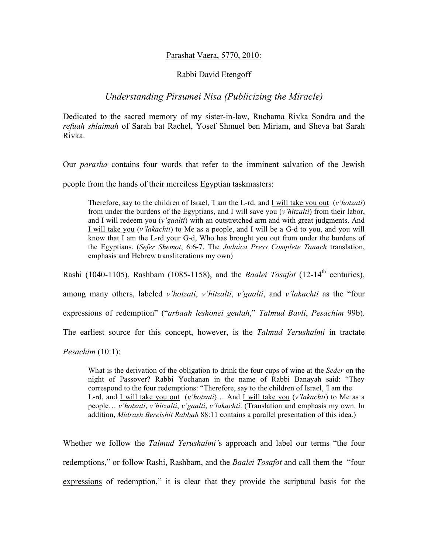## Parashat Vaera, 5770, 2010:

## Rabbi David Etengoff

## *Understanding Pirsumei Nisa (Publicizing the Miracle)*

Dedicated to the sacred memory of my sister-in-law, Ruchama Rivka Sondra and the *refuah shlaimah* of Sarah bat Rachel, Yosef Shmuel ben Miriam, and Sheva bat Sarah Rivka.

Our *parasha* contains four words that refer to the imminent salvation of the Jewish

people from the hands of their merciless Egyptian taskmasters:

Therefore, say to the children of Israel, 'I am the L-rd, and I will take you out (*v'hotzati*) from under the burdens of the Egyptians, and I will save you (*v'hitzalti*) from their labor, and I will redeem you (*v'gaalti*) with an outstretched arm and with great judgments. And I will take you (*v'lakachti*) to Me as a people, and I will be a G-d to you, and you will know that I am the L-rd your G-d, Who has brought you out from under the burdens of the Egyptians. (*Sefer Shemot*, 6:6-7, The *Judaica Press Complete Tanach* translation, emphasis and Hebrew transliterations my own)

Rashi (1040-1105), Rashbam (1085-1158), and the *Baalei Tosafot* (12-14<sup>th</sup> centuries),

among many others, labeled *v'hotzati*, *v'hitzalti*, *v'gaalti*, and *v'lakachti* as the "four

expressions of redemption" ("*arbaah leshonei geulah*," *Talmud Bavli*, *Pesachim* 99b).

The earliest source for this concept, however, is the *Talmud Yerushalmi* in tractate

*Pesachim* (10:1):

What is the derivation of the obligation to drink the four cups of wine at the *Seder* on the night of Passover? Rabbi Yochanan in the name of Rabbi Banayah said: "They correspond to the four redemptions: "Therefore, say to the children of Israel, 'I am the L-rd, and I will take you out (*v'hotzati*)… And I will take you (*v'lakachti*) to Me as a people… *v'hotzati*, *v'hitzalti*, *v'gaalti*, *v'lakachti*. (Translation and emphasis my own. In addition, *Midrash Bereishit Rabbah* 88:11 contains a parallel presentation of this idea.)

Whether we follow the *Talmud Yerushalmi'*s approach and label our terms "the four redemptions," or follow Rashi, Rashbam, and the *Baalei Tosafot* and call them the "four expressions of redemption," it is clear that they provide the scriptural basis for the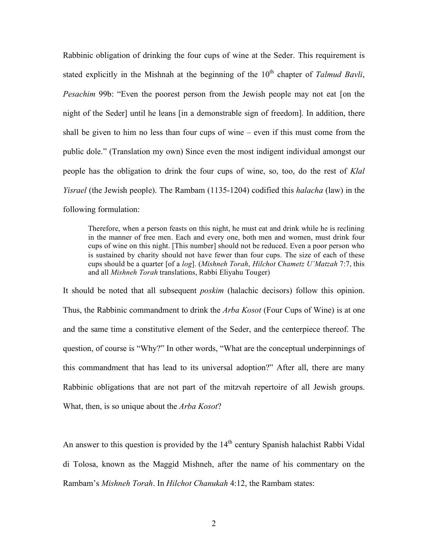Rabbinic obligation of drinking the four cups of wine at the Seder. This requirement is stated explicitly in the Mishnah at the beginning of the  $10<sup>th</sup>$  chapter of *Talmud Bavli*, *Pesachim* 99b: "Even the poorest person from the Jewish people may not eat [on the night of the Seder] until he leans [in a demonstrable sign of freedom]. In addition, there shall be given to him no less than four cups of wine – even if this must come from the public dole." (Translation my own) Since even the most indigent individual amongst our people has the obligation to drink the four cups of wine, so, too, do the rest of *Klal Yisrael* (the Jewish people). The Rambam (1135-1204) codified this *halacha* (law) in the following formulation:

Therefore, when a person feasts on this night, he must eat and drink while he is reclining in the manner of free men. Each and every one, both men and women, must drink four cups of wine on this night. [This number] should not be reduced. Even a poor person who is sustained by charity should not have fewer than four cups. The size of each of these cups should be a quarter [of a *log*]. (*Mishneh Torah*, *Hilchot Chametz U'Matzah* 7:7, this and all *Mishneh Torah* translations, Rabbi Eliyahu Touger)

It should be noted that all subsequent *poskim* (halachic decisors) follow this opinion. Thus, the Rabbinic commandment to drink the *Arba Kosot* (Four Cups of Wine) is at one and the same time a constitutive element of the Seder, and the centerpiece thereof. The question, of course is "Why?" In other words, "What are the conceptual underpinnings of this commandment that has lead to its universal adoption?" After all, there are many Rabbinic obligations that are not part of the mitzvah repertoire of all Jewish groups. What, then, is so unique about the *Arba Kosot*?

An answer to this question is provided by the 14<sup>th</sup> century Spanish halachist Rabbi Vidal di Tolosa, known as the Maggid Mishneh, after the name of his commentary on the Rambam's *Mishneh Torah*. In *Hilchot Chanukah* 4:12, the Rambam states: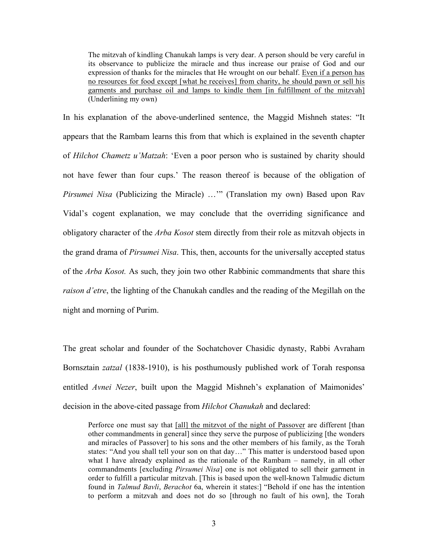The mitzvah of kindling Chanukah lamps is very dear. A person should be very careful in its observance to publicize the miracle and thus increase our praise of God and our expression of thanks for the miracles that He wrought on our behalf. Even if a person has no resources for food except [what he receives] from charity, he should pawn or sell his garments and purchase oil and lamps to kindle them [in fulfillment of the mitzvah] (Underlining my own)

In his explanation of the above-underlined sentence, the Maggid Mishneh states: "It appears that the Rambam learns this from that which is explained in the seventh chapter of *Hilchot Chametz u'Matzah*: 'Even a poor person who is sustained by charity should not have fewer than four cups.' The reason thereof is because of the obligation of *Pirsumei Nisa* (Publicizing the Miracle) ..."" (Translation my own) Based upon Rav Vidal's cogent explanation, we may conclude that the overriding significance and obligatory character of the *Arba Kosot* stem directly from their role as mitzvah objects in the grand drama of *Pirsumei Nisa*. This, then, accounts for the universally accepted status of the *Arba Kosot.* As such, they join two other Rabbinic commandments that share this *raison d'etre*, the lighting of the Chanukah candles and the reading of the Megillah on the night and morning of Purim.

The great scholar and founder of the Sochatchover Chasidic dynasty, Rabbi Avraham Bornsztain *zatzal* (1838-1910), is his posthumously published work of Torah responsa entitled *Avnei Nezer*, built upon the Maggid Mishneh's explanation of Maimonides' decision in the above-cited passage from *Hilchot Chanukah* and declared:

Perforce one must say that [all] the mitzvot of the night of Passover are different [than other commandments in general] since they serve the purpose of publicizing [the wonders and miracles of Passover] to his sons and the other members of his family, as the Torah states: "And you shall tell your son on that day…" This matter is understood based upon what I have already explained as the rationale of the Rambam – namely, in all other commandments [excluding *Pirsumei Nisa*] one is not obligated to sell their garment in order to fulfill a particular mitzvah. [This is based upon the well-known Talmudic dictum found in *Talmud Bavli*, *Berachot* 6a, wherein it states:] "Behold if one has the intention to perform a mitzvah and does not do so [through no fault of his own], the Torah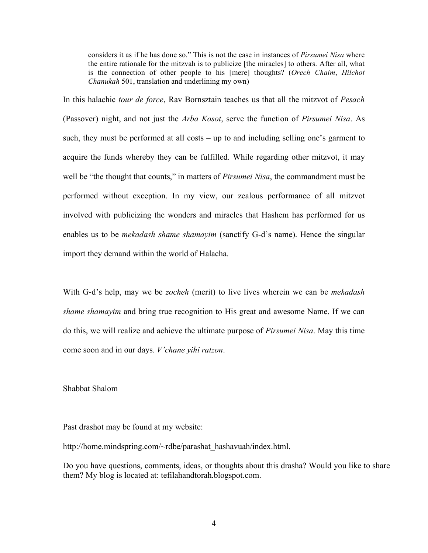considers it as if he has done so." This is not the case in instances of *Pirsumei Nisa* where the entire rationale for the mitzvah is to publicize [the miracles] to others. After all, what is the connection of other people to his [mere] thoughts? (*Orech Chaim*, *Hilchot Chanukah* 501, translation and underlining my own)

In this halachic *tour de force*, Rav Bornsztain teaches us that all the mitzvot of *Pesach*  (Passover) night, and not just the *Arba Kosot*, serve the function of *Pirsumei Nisa*. As such, they must be performed at all costs – up to and including selling one's garment to acquire the funds whereby they can be fulfilled. While regarding other mitzvot, it may well be "the thought that counts," in matters of *Pirsumei Nisa*, the commandment must be performed without exception. In my view, our zealous performance of all mitzvot involved with publicizing the wonders and miracles that Hashem has performed for us enables us to be *mekadash shame shamayim* (sanctify G-d's name). Hence the singular import they demand within the world of Halacha.

With G-d's help, may we be *zocheh* (merit) to live lives wherein we can be *mekadash shame shamayim* and bring true recognition to His great and awesome Name. If we can do this, we will realize and achieve the ultimate purpose of *Pirsumei Nisa*. May this time come soon and in our days. *V'chane yihi ratzon*.

## Shabbat Shalom

Past drashot may be found at my website:

http://home.mindspring.com/~rdbe/parashat\_hashavuah/index.html.

Do you have questions, comments, ideas, or thoughts about this drasha? Would you like to share them? My blog is located at: tefilahandtorah.blogspot.com.